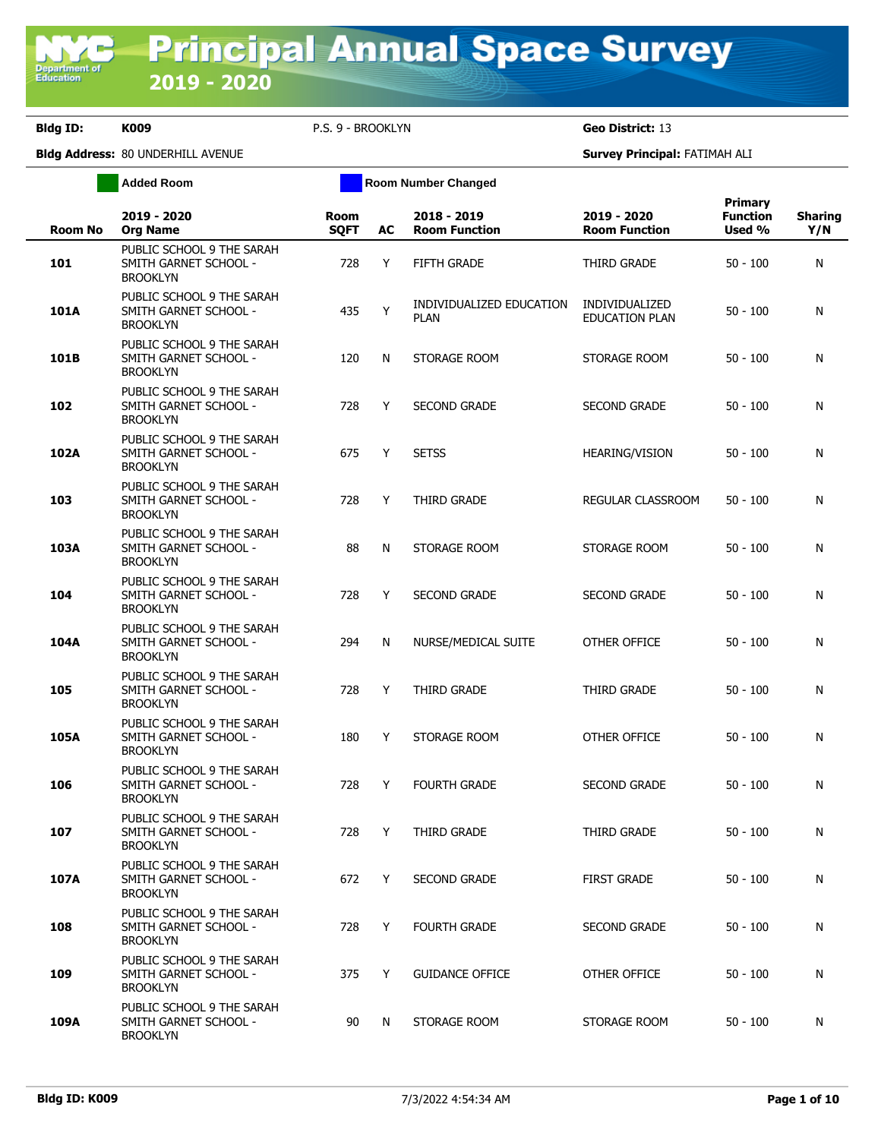**Department o**<br>Education

|                | <b>Added Room</b>                                                     | <b>Room Number Changed</b> |    |                                         |                                         |                                             |                       |  |
|----------------|-----------------------------------------------------------------------|----------------------------|----|-----------------------------------------|-----------------------------------------|---------------------------------------------|-----------------------|--|
| <b>Room No</b> | 2019 - 2020<br><b>Org Name</b>                                        | Room<br><b>SQFT</b>        | AC | 2018 - 2019<br><b>Room Function</b>     | 2019 - 2020<br><b>Room Function</b>     | <b>Primary</b><br><b>Function</b><br>Used % | <b>Sharing</b><br>Y/N |  |
| 101            | PUBLIC SCHOOL 9 THE SARAH<br>SMITH GARNET SCHOOL -<br><b>BROOKLYN</b> | 728                        | Y  | FIFTH GRADE                             | THIRD GRADE                             | $50 - 100$                                  | N                     |  |
| 101A           | PUBLIC SCHOOL 9 THE SARAH<br>SMITH GARNET SCHOOL -<br><b>BROOKLYN</b> | 435                        | Y  | INDIVIDUALIZED EDUCATION<br><b>PLAN</b> | INDIVIDUALIZED<br><b>EDUCATION PLAN</b> | $50 - 100$                                  | N                     |  |
| 101B           | PUBLIC SCHOOL 9 THE SARAH<br>SMITH GARNET SCHOOL -<br><b>BROOKLYN</b> | 120                        | N  | STORAGE ROOM                            | STORAGE ROOM                            | $50 - 100$                                  | N                     |  |
| 102            | PUBLIC SCHOOL 9 THE SARAH<br>SMITH GARNET SCHOOL -<br><b>BROOKLYN</b> | 728                        | Y  | <b>SECOND GRADE</b>                     | <b>SECOND GRADE</b>                     | $50 - 100$                                  | N                     |  |
| 102A           | PUBLIC SCHOOL 9 THE SARAH<br>SMITH GARNET SCHOOL -<br><b>BROOKLYN</b> | 675                        | Y  | <b>SETSS</b>                            | <b>HEARING/VISION</b>                   | $50 - 100$                                  | N                     |  |
| 103            | PUBLIC SCHOOL 9 THE SARAH<br>SMITH GARNET SCHOOL -<br><b>BROOKLYN</b> | 728                        | Y  | THIRD GRADE                             | REGULAR CLASSROOM                       | $50 - 100$                                  | N                     |  |
| 103A           | PUBLIC SCHOOL 9 THE SARAH<br>SMITH GARNET SCHOOL -<br><b>BROOKLYN</b> | 88                         | N  | STORAGE ROOM                            | STORAGE ROOM                            | $50 - 100$                                  | N                     |  |
| 104            | PUBLIC SCHOOL 9 THE SARAH<br>SMITH GARNET SCHOOL -<br><b>BROOKLYN</b> | 728                        | Y  | <b>SECOND GRADE</b>                     | <b>SECOND GRADE</b>                     | $50 - 100$                                  | N                     |  |
| 104A           | PUBLIC SCHOOL 9 THE SARAH<br>SMITH GARNET SCHOOL -<br><b>BROOKLYN</b> | 294                        | N  | NURSE/MEDICAL SUITE                     | OTHER OFFICE                            | $50 - 100$                                  | N                     |  |
| 105            | PUBLIC SCHOOL 9 THE SARAH<br>SMITH GARNET SCHOOL -<br><b>BROOKLYN</b> | 728                        | Y  | THIRD GRADE                             | THIRD GRADE                             | $50 - 100$                                  | N                     |  |
| 105A           | PUBLIC SCHOOL 9 THE SARAH<br>SMITH GARNET SCHOOL -<br><b>BROOKLYN</b> | 180                        | Y  | STORAGE ROOM                            | OTHER OFFICE                            | $50 - 100$                                  | N                     |  |
| 106            | PUBLIC SCHOOL 9 THE SARAH<br>SMITH GARNET SCHOOL -<br><b>BROOKLYN</b> | 728                        | Y  | <b>FOURTH GRADE</b>                     | <b>SECOND GRADE</b>                     | $50 - 100$                                  | N                     |  |
| 107            | PUBLIC SCHOOL 9 THE SARAH<br>SMITH GARNET SCHOOL -<br><b>BROOKLYN</b> | 728                        | Y  | THIRD GRADE                             | THIRD GRADE                             | $50 - 100$                                  | N                     |  |
| 107A           | PUBLIC SCHOOL 9 THE SARAH<br>SMITH GARNET SCHOOL -<br><b>BROOKLYN</b> | 672                        | Y  | <b>SECOND GRADE</b>                     | <b>FIRST GRADE</b>                      | $50 - 100$                                  | N                     |  |
| 108            | PUBLIC SCHOOL 9 THE SARAH<br>SMITH GARNET SCHOOL -<br><b>BROOKLYN</b> | 728                        | Y  | <b>FOURTH GRADE</b>                     | <b>SECOND GRADE</b>                     | $50 - 100$                                  | N                     |  |
| 109            | PUBLIC SCHOOL 9 THE SARAH<br>SMITH GARNET SCHOOL -<br><b>BROOKLYN</b> | 375                        | Y  | <b>GUIDANCE OFFICE</b>                  | OTHER OFFICE                            | $50 - 100$                                  | N                     |  |
| 109A           | PUBLIC SCHOOL 9 THE SARAH<br>SMITH GARNET SCHOOL -<br><b>BROOKLYN</b> | 90                         | N  | STORAGE ROOM                            | STORAGE ROOM                            | $50 - 100$                                  | N                     |  |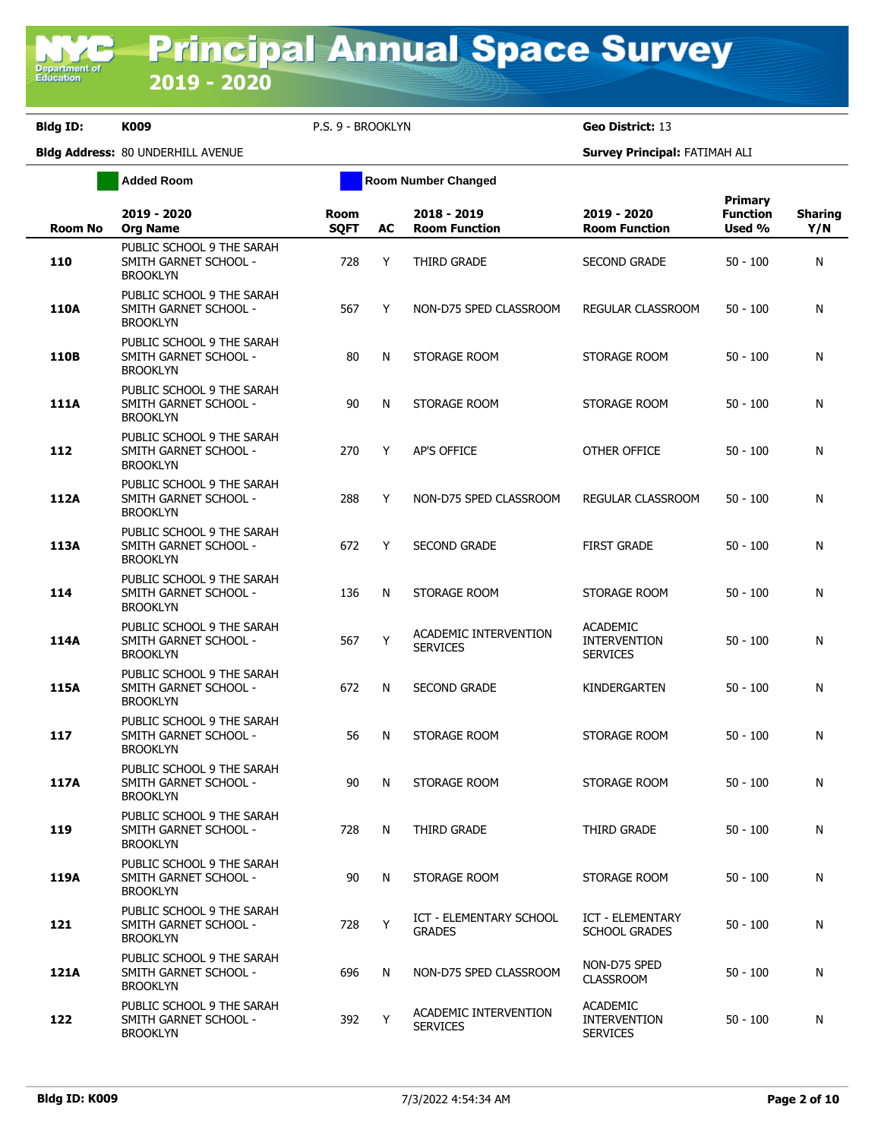**Added Room Room Room Number Changed** 

|  |  | p.s. 9 - Brooklyn |  |
|--|--|-------------------|--|
|  |  |                   |  |

| <b>Room No</b> | 2019 - 2020<br><b>Org Name</b>                                        | Room<br><b>SQFT</b> | AC | 2018 - 2019<br><b>Room Function</b>             | 2019 - 2020<br><b>Room Function</b>                       | Primary<br><b>Function</b><br>Used % | <b>Sharing</b><br>Y/N |
|----------------|-----------------------------------------------------------------------|---------------------|----|-------------------------------------------------|-----------------------------------------------------------|--------------------------------------|-----------------------|
| 110            | PUBLIC SCHOOL 9 THE SARAH<br>SMITH GARNET SCHOOL -<br><b>BROOKLYN</b> | 728                 | Y  | THIRD GRADE                                     | <b>SECOND GRADE</b>                                       | $50 - 100$                           | N                     |
| 110A           | PUBLIC SCHOOL 9 THE SARAH<br>SMITH GARNET SCHOOL -<br><b>BROOKLYN</b> | 567                 | Y  | NON-D75 SPED CLASSROOM                          | REGULAR CLASSROOM                                         | $50 - 100$                           | N                     |
| 110B           | PUBLIC SCHOOL 9 THE SARAH<br>SMITH GARNET SCHOOL -<br><b>BROOKLYN</b> | 80                  | N  | STORAGE ROOM                                    | STORAGE ROOM                                              | $50 - 100$                           | N                     |
| 111A           | PUBLIC SCHOOL 9 THE SARAH<br>SMITH GARNET SCHOOL -<br><b>BROOKLYN</b> | 90                  | N  | STORAGE ROOM                                    | STORAGE ROOM                                              | $50 - 100$                           | N                     |
| 112            | PUBLIC SCHOOL 9 THE SARAH<br>SMITH GARNET SCHOOL -<br><b>BROOKLYN</b> | 270                 | Y  | AP'S OFFICE                                     | OTHER OFFICE                                              | $50 - 100$                           | N                     |
| 112A           | PUBLIC SCHOOL 9 THE SARAH<br>SMITH GARNET SCHOOL -<br><b>BROOKLYN</b> | 288                 | Y  | NON-D75 SPED CLASSROOM                          | REGULAR CLASSROOM                                         | $50 - 100$                           | N                     |
| 113A           | PUBLIC SCHOOL 9 THE SARAH<br>SMITH GARNET SCHOOL -<br><b>BROOKLYN</b> | 672                 | Y  | <b>SECOND GRADE</b>                             | <b>FIRST GRADE</b>                                        | $50 - 100$                           | N                     |
| 114            | PUBLIC SCHOOL 9 THE SARAH<br>SMITH GARNET SCHOOL -<br><b>BROOKLYN</b> | 136                 | N  | STORAGE ROOM                                    | STORAGE ROOM                                              | 50 - 100                             | N                     |
| 114A           | PUBLIC SCHOOL 9 THE SARAH<br>SMITH GARNET SCHOOL -<br><b>BROOKLYN</b> | 567                 | Y  | ACADEMIC INTERVENTION<br><b>SERVICES</b>        | <b>ACADEMIC</b><br><b>INTERVENTION</b><br><b>SERVICES</b> | $50 - 100$                           | N                     |
| 115A           | PUBLIC SCHOOL 9 THE SARAH<br>SMITH GARNET SCHOOL -<br><b>BROOKLYN</b> | 672                 | N  | SECOND GRADE                                    | KINDERGARTEN                                              | $50 - 100$                           | N                     |
| 117            | PUBLIC SCHOOL 9 THE SARAH<br>SMITH GARNET SCHOOL -<br><b>BROOKLYN</b> | 56                  | N  | STORAGE ROOM                                    | STORAGE ROOM                                              | $50 - 100$                           | N                     |
| 117A           | PUBLIC SCHOOL 9 THE SARAH<br>SMITH GARNET SCHOOL -<br><b>BROOKLYN</b> | 90                  | N  | STORAGE ROOM                                    | STORAGE ROOM                                              | $50 - 100$                           | N                     |
| 119            | PUBLIC SCHOOL 9 THE SARAH<br>SMITH GARNET SCHOOL -<br><b>BROOKLYN</b> | 728                 | N  | THIRD GRADE                                     | THIRD GRADE                                               | $50 - 100$                           | N                     |
| 119A           | PUBLIC SCHOOL 9 THE SARAH<br>SMITH GARNET SCHOOL -<br><b>BROOKLYN</b> | 90                  | N  | STORAGE ROOM                                    | STORAGE ROOM                                              | $50 - 100$                           | N                     |
| 121            | PUBLIC SCHOOL 9 THE SARAH<br>SMITH GARNET SCHOOL -<br><b>BROOKLYN</b> | 728                 | Y  | <b>ICT - ELEMENTARY SCHOOL</b><br><b>GRADES</b> | ICT - ELEMENTARY<br><b>SCHOOL GRADES</b>                  | $50 - 100$                           | N                     |
| 121A           | PUBLIC SCHOOL 9 THE SARAH<br>SMITH GARNET SCHOOL -<br><b>BROOKLYN</b> | 696                 | N  | NON-D75 SPED CLASSROOM                          | NON-D75 SPED<br><b>CLASSROOM</b>                          | $50 - 100$                           | N                     |
| 122            | PUBLIC SCHOOL 9 THE SARAH<br>SMITH GARNET SCHOOL -<br><b>BROOKLYN</b> | 392                 | Y  | ACADEMIC INTERVENTION<br><b>SERVICES</b>        | <b>ACADEMIC</b><br><b>INTERVENTION</b><br><b>SERVICES</b> | 50 - 100                             | N                     |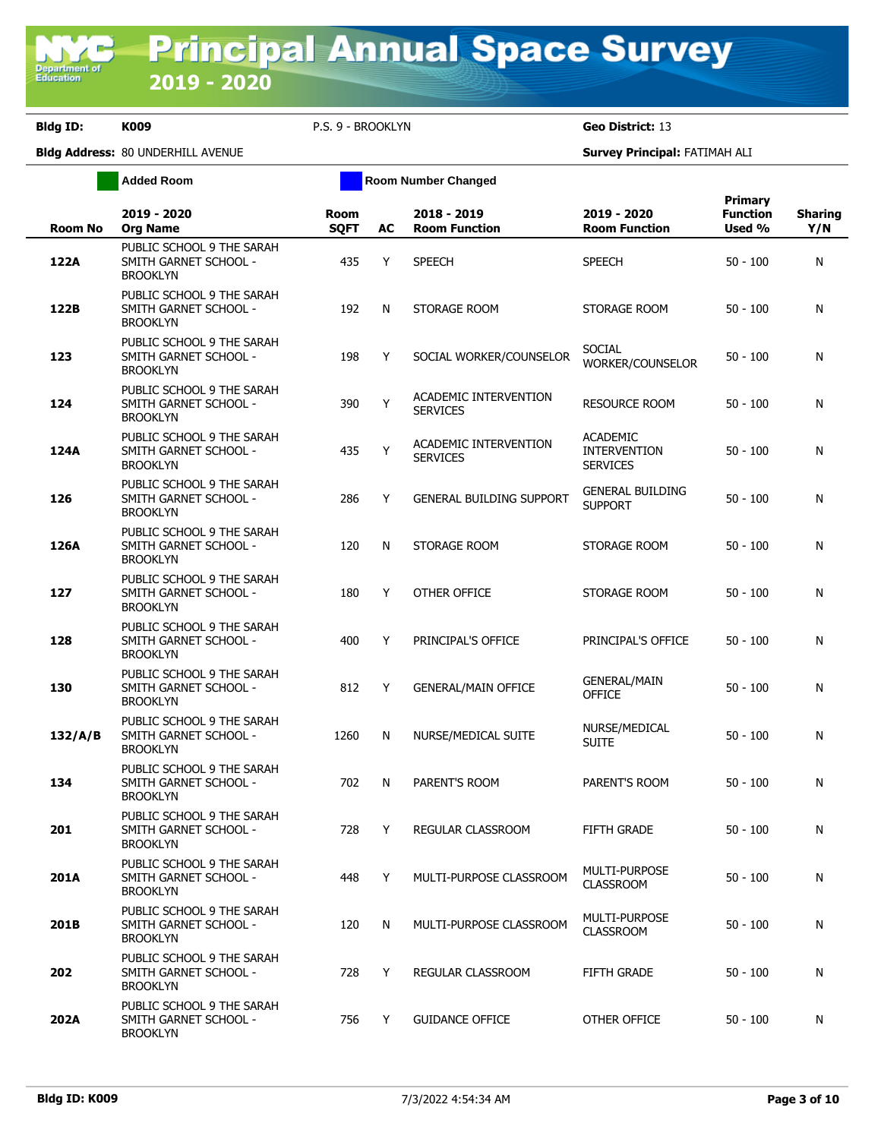**Added Room Room Room Number Changed** 

|  | .S. 9 - BROOKLYN |  |
|--|------------------|--|
|  |                  |  |

| <b>Room No</b> | 2019 - 2020<br><b>Org Name</b>                                        | <b>Room</b><br><b>SQFT</b> | AC | 2018 - 2019<br><b>Room Function</b>      | 2019 - 2020<br><b>Room Function</b>                       | Primary<br><b>Function</b><br>Used % | <b>Sharing</b><br>Y/N |
|----------------|-----------------------------------------------------------------------|----------------------------|----|------------------------------------------|-----------------------------------------------------------|--------------------------------------|-----------------------|
| 122A           | PUBLIC SCHOOL 9 THE SARAH<br>SMITH GARNET SCHOOL -<br><b>BROOKLYN</b> | 435                        | Y  | <b>SPEECH</b>                            | <b>SPEECH</b>                                             | $50 - 100$                           | N                     |
| 122B           | PUBLIC SCHOOL 9 THE SARAH<br>SMITH GARNET SCHOOL -<br><b>BROOKLYN</b> | 192                        | N  | STORAGE ROOM                             | STORAGE ROOM                                              | $50 - 100$                           | N                     |
| 123            | PUBLIC SCHOOL 9 THE SARAH<br>SMITH GARNET SCHOOL -<br><b>BROOKLYN</b> | 198                        | Y  | SOCIAL WORKER/COUNSELOR                  | <b>SOCIAL</b><br>WORKER/COUNSELOR                         | $50 - 100$                           | N                     |
| 124            | PUBLIC SCHOOL 9 THE SARAH<br>SMITH GARNET SCHOOL -<br><b>BROOKLYN</b> | 390                        | Y  | ACADEMIC INTERVENTION<br><b>SERVICES</b> | <b>RESOURCE ROOM</b>                                      | $50 - 100$                           | N                     |
| 124A           | PUBLIC SCHOOL 9 THE SARAH<br>SMITH GARNET SCHOOL -<br><b>BROOKLYN</b> | 435                        | Y  | ACADEMIC INTERVENTION<br><b>SERVICES</b> | <b>ACADEMIC</b><br><b>INTERVENTION</b><br><b>SERVICES</b> | $50 - 100$                           | N                     |
| 126            | PUBLIC SCHOOL 9 THE SARAH<br>SMITH GARNET SCHOOL -<br><b>BROOKLYN</b> | 286                        | Y  | <b>GENERAL BUILDING SUPPORT</b>          | <b>GENERAL BUILDING</b><br><b>SUPPORT</b>                 | $50 - 100$                           | N                     |
| 126A           | PUBLIC SCHOOL 9 THE SARAH<br>SMITH GARNET SCHOOL -<br><b>BROOKLYN</b> | 120                        | N  | STORAGE ROOM                             | STORAGE ROOM                                              | $50 - 100$                           | N                     |
| 127            | PUBLIC SCHOOL 9 THE SARAH<br>SMITH GARNET SCHOOL -<br><b>BROOKLYN</b> | 180                        | Y  | OTHER OFFICE                             | STORAGE ROOM                                              | $50 - 100$                           | N                     |
| 128            | PUBLIC SCHOOL 9 THE SARAH<br>SMITH GARNET SCHOOL -<br><b>BROOKLYN</b> | 400                        | Y  | PRINCIPAL'S OFFICE                       | PRINCIPAL'S OFFICE                                        | $50 - 100$                           | N                     |
| 130            | PUBLIC SCHOOL 9 THE SARAH<br>SMITH GARNET SCHOOL -<br><b>BROOKLYN</b> | 812                        | Y  | <b>GENERAL/MAIN OFFICE</b>               | GENERAL/MAIN<br><b>OFFICE</b>                             | $50 - 100$                           | N                     |
| 132/A/B        | PUBLIC SCHOOL 9 THE SARAH<br>SMITH GARNET SCHOOL -<br><b>BROOKLYN</b> | 1260                       | N  | NURSE/MEDICAL SUITE                      | NURSE/MEDICAL<br><b>SUITE</b>                             | $50 - 100$                           | N                     |
| 134            | PUBLIC SCHOOL 9 THE SARAH<br>SMITH GARNET SCHOOL -<br><b>BROOKLYN</b> | 702                        | N  | PARENT'S ROOM                            | PARENT'S ROOM                                             | $50 - 100$                           | N                     |
| 201            | PUBLIC SCHOOL 9 THE SARAH<br>SMITH GARNET SCHOOL -<br><b>BROOKLYN</b> | 728                        | Y  | REGULAR CLASSROOM                        | <b>FIFTH GRADE</b>                                        | $50 - 100$                           | N                     |
| 201A           | PUBLIC SCHOOL 9 THE SARAH<br>SMITH GARNET SCHOOL -<br><b>BROOKLYN</b> | 448                        | Y  | MULTI-PURPOSE CLASSROOM                  | <b>MULTI-PURPOSE</b><br><b>CLASSROOM</b>                  | $50 - 100$                           | N                     |
| 201B           | PUBLIC SCHOOL 9 THE SARAH<br>SMITH GARNET SCHOOL -<br><b>BROOKLYN</b> | 120                        | N  | MULTI-PURPOSE CLASSROOM                  | <b>MULTI-PURPOSE</b><br><b>CLASSROOM</b>                  | $50 - 100$                           | N                     |
| 202            | PUBLIC SCHOOL 9 THE SARAH<br>SMITH GARNET SCHOOL -<br><b>BROOKLYN</b> | 728                        | Y  | REGULAR CLASSROOM                        | FIFTH GRADE                                               | $50 - 100$                           | N                     |
| 202A           | PUBLIC SCHOOL 9 THE SARAH<br>SMITH GARNET SCHOOL -<br><b>BROOKLYN</b> | 756                        | Y  | <b>GUIDANCE OFFICE</b>                   | OTHER OFFICE                                              | $50 - 100$                           | N                     |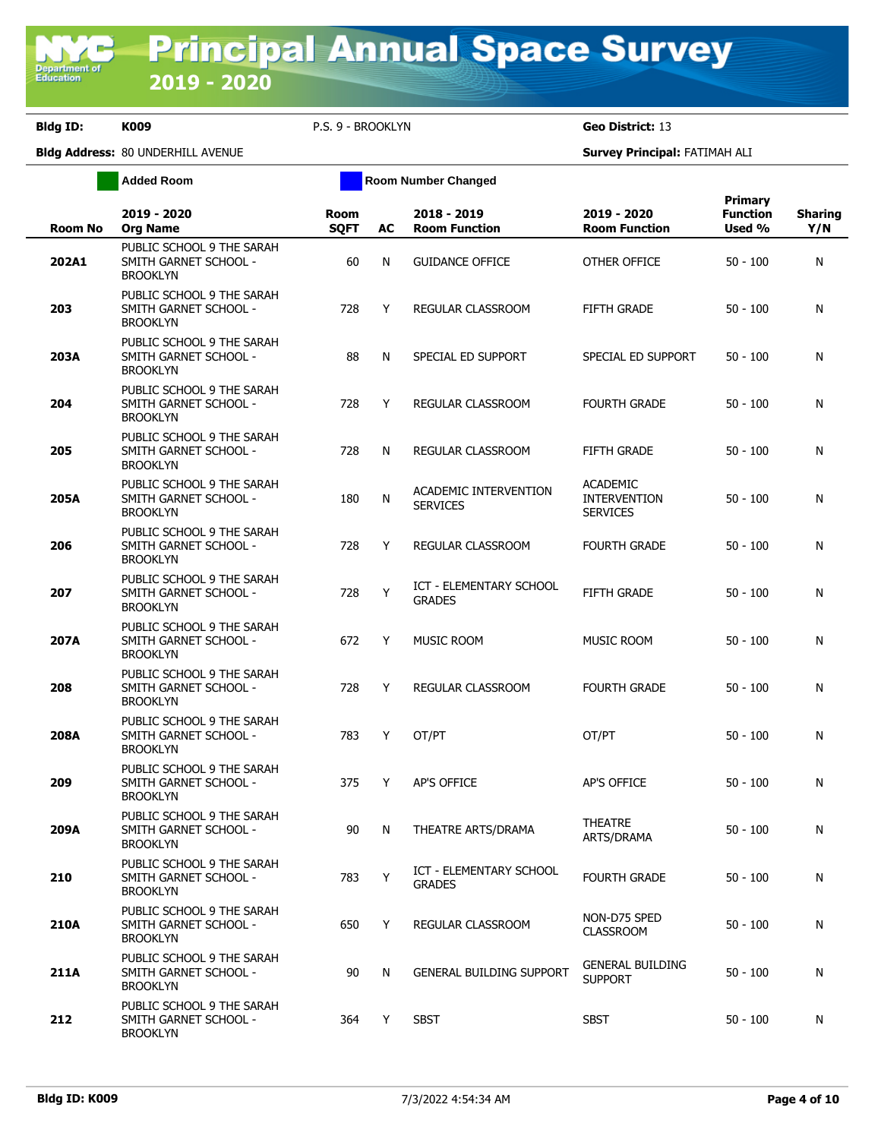**Added Room Room Room Number Changed** 

| <b>Room No</b> | 2019 - 2020<br><b>Org Name</b>                                        | Room<br><b>SQFT</b> | AC | 2018 - 2019<br><b>Room Function</b>             | 2019 - 2020<br><b>Room Function</b>                       | <b>Primary</b><br><b>Function</b><br>Used % | <b>Sharing</b><br>Y/N |
|----------------|-----------------------------------------------------------------------|---------------------|----|-------------------------------------------------|-----------------------------------------------------------|---------------------------------------------|-----------------------|
| 202A1          | PUBLIC SCHOOL 9 THE SARAH<br>SMITH GARNET SCHOOL -<br><b>BROOKLYN</b> | 60                  | N  | <b>GUIDANCE OFFICE</b>                          | OTHER OFFICE                                              | $50 - 100$                                  | N                     |
| 203            | PUBLIC SCHOOL 9 THE SARAH<br>SMITH GARNET SCHOOL -<br><b>BROOKLYN</b> | 728                 | Y  | REGULAR CLASSROOM                               | FIFTH GRADE                                               | $50 - 100$                                  | N                     |
| 203A           | PUBLIC SCHOOL 9 THE SARAH<br>SMITH GARNET SCHOOL -<br><b>BROOKLYN</b> | 88                  | N  | SPECIAL ED SUPPORT                              | SPECIAL ED SUPPORT                                        | $50 - 100$                                  | N                     |
| 204            | PUBLIC SCHOOL 9 THE SARAH<br>SMITH GARNET SCHOOL -<br><b>BROOKLYN</b> | 728                 | Y  | REGULAR CLASSROOM                               | <b>FOURTH GRADE</b>                                       | $50 - 100$                                  | N                     |
| 205            | PUBLIC SCHOOL 9 THE SARAH<br>SMITH GARNET SCHOOL -<br><b>BROOKLYN</b> | 728                 | N  | REGULAR CLASSROOM                               | <b>FIFTH GRADE</b>                                        | $50 - 100$                                  | N                     |
| 205A           | PUBLIC SCHOOL 9 THE SARAH<br>SMITH GARNET SCHOOL -<br><b>BROOKLYN</b> | 180                 | N  | ACADEMIC INTERVENTION<br><b>SERVICES</b>        | <b>ACADEMIC</b><br><b>INTERVENTION</b><br><b>SERVICES</b> | $50 - 100$                                  | N                     |
| 206            | PUBLIC SCHOOL 9 THE SARAH<br>SMITH GARNET SCHOOL -<br><b>BROOKLYN</b> | 728                 | Y  | REGULAR CLASSROOM                               | <b>FOURTH GRADE</b>                                       | $50 - 100$                                  | N                     |
| 207            | PUBLIC SCHOOL 9 THE SARAH<br>SMITH GARNET SCHOOL -<br><b>BROOKLYN</b> | 728                 | Y  | ICT - ELEMENTARY SCHOOL<br><b>GRADES</b>        | <b>FIFTH GRADE</b>                                        | $50 - 100$                                  | N                     |
| 207A           | PUBLIC SCHOOL 9 THE SARAH<br>SMITH GARNET SCHOOL -<br><b>BROOKLYN</b> | 672                 | Y  | MUSIC ROOM                                      | MUSIC ROOM                                                | $50 - 100$                                  | N                     |
| 208            | PUBLIC SCHOOL 9 THE SARAH<br>SMITH GARNET SCHOOL -<br><b>BROOKLYN</b> | 728                 | Y  | REGULAR CLASSROOM                               | <b>FOURTH GRADE</b>                                       | $50 - 100$                                  | N                     |
| 208A           | PUBLIC SCHOOL 9 THE SARAH<br>SMITH GARNET SCHOOL -<br><b>BROOKLYN</b> | 783                 | Y  | OT/PT                                           | OT/PT                                                     | $50 - 100$                                  | N                     |
| 209            | PUBLIC SCHOOL 9 THE SARAH<br>SMITH GARNET SCHOOL -<br><b>BROOKLYN</b> | 375                 | Y  | <b>AP'S OFFICE</b>                              | AP'S OFFICE                                               | $50 - 100$                                  | N                     |
| 209A           | PUBLIC SCHOOL 9 THE SARAH<br>SMITH GARNET SCHOOL -<br><b>BROOKLYN</b> | 90                  | N  | THEATRE ARTS/DRAMA                              | <b>THEATRE</b><br>ARTS/DRAMA                              | $50 - 100$                                  | N                     |
| 210            | PUBLIC SCHOOL 9 THE SARAH<br>SMITH GARNET SCHOOL -<br><b>BROOKLYN</b> | 783                 | Y  | <b>ICT - ELEMENTARY SCHOOL</b><br><b>GRADES</b> | <b>FOURTH GRADE</b>                                       | $50 - 100$                                  | N                     |
| 210A           | PUBLIC SCHOOL 9 THE SARAH<br>SMITH GARNET SCHOOL -<br><b>BROOKLYN</b> | 650                 | Y  | REGULAR CLASSROOM                               | NON-D75 SPED<br><b>CLASSROOM</b>                          | $50 - 100$                                  | N                     |
| 211A           | PUBLIC SCHOOL 9 THE SARAH<br>SMITH GARNET SCHOOL -<br><b>BROOKLYN</b> | 90                  | N  | <b>GENERAL BUILDING SUPPORT</b>                 | <b>GENERAL BUILDING</b><br><b>SUPPORT</b>                 | $50 - 100$                                  | N                     |
| 212            | PUBLIC SCHOOL 9 THE SARAH<br>SMITH GARNET SCHOOL -<br><b>BROOKLYN</b> | 364                 | Y  | SBST                                            | <b>SBST</b>                                               | $50 - 100$                                  | N                     |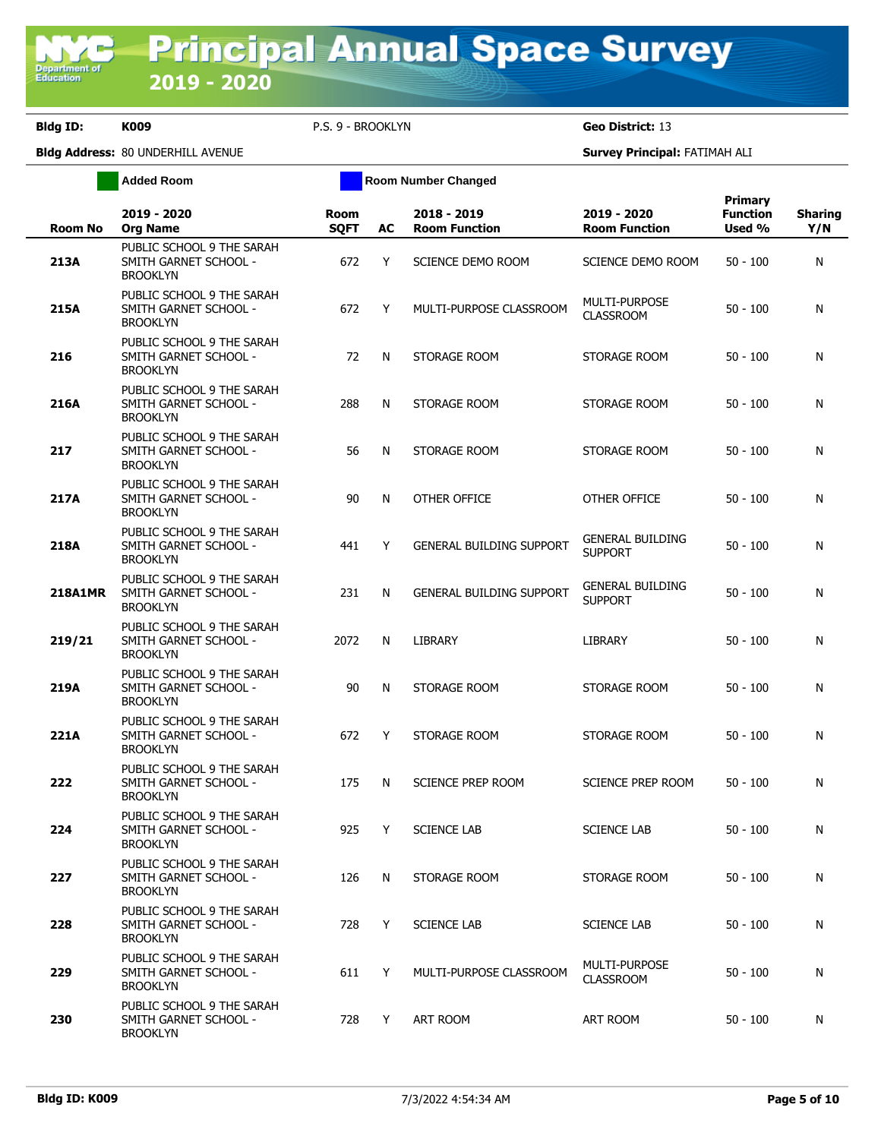**Added Room Room Room Number Changed** 

| <b>Room No</b> | 2019 - 2020<br><b>Org Name</b>                                        | <b>Room</b><br><b>SQFT</b> | AC | 2018 - 2019<br><b>Room Function</b> | 2019 - 2020<br><b>Room Function</b>       | <b>Primary</b><br><b>Function</b><br>Used % | <b>Sharing</b><br>Y/N |
|----------------|-----------------------------------------------------------------------|----------------------------|----|-------------------------------------|-------------------------------------------|---------------------------------------------|-----------------------|
| 213A           | PUBLIC SCHOOL 9 THE SARAH<br>SMITH GARNET SCHOOL -<br><b>BROOKLYN</b> | 672                        | Y  | SCIENCE DEMO ROOM                   | SCIENCE DEMO ROOM                         | $50 - 100$                                  | N                     |
| 215A           | PUBLIC SCHOOL 9 THE SARAH<br>SMITH GARNET SCHOOL -<br><b>BROOKLYN</b> | 672                        | Y  | MULTI-PURPOSE CLASSROOM             | MULTI-PURPOSE<br><b>CLASSROOM</b>         | $50 - 100$                                  | N                     |
| 216            | PUBLIC SCHOOL 9 THE SARAH<br>SMITH GARNET SCHOOL -<br><b>BROOKLYN</b> | 72                         | N  | STORAGE ROOM                        | STORAGE ROOM                              | $50 - 100$                                  | N                     |
| 216A           | PUBLIC SCHOOL 9 THE SARAH<br>SMITH GARNET SCHOOL -<br><b>BROOKLYN</b> | 288                        | N  | STORAGE ROOM                        | STORAGE ROOM                              | $50 - 100$                                  | N                     |
| 217            | PUBLIC SCHOOL 9 THE SARAH<br>SMITH GARNET SCHOOL -<br><b>BROOKLYN</b> | 56                         | N  | STORAGE ROOM                        | STORAGE ROOM                              | $50 - 100$                                  | N                     |
| 217A           | PUBLIC SCHOOL 9 THE SARAH<br>SMITH GARNET SCHOOL -<br><b>BROOKLYN</b> | 90                         | N  | OTHER OFFICE                        | OTHER OFFICE                              | $50 - 100$                                  | N                     |
| 218A           | PUBLIC SCHOOL 9 THE SARAH<br>SMITH GARNET SCHOOL -<br><b>BROOKLYN</b> | 441                        | Y  | <b>GENERAL BUILDING SUPPORT</b>     | <b>GENERAL BUILDING</b><br><b>SUPPORT</b> | $50 - 100$                                  | N                     |
| 218A1MR        | PUBLIC SCHOOL 9 THE SARAH<br>SMITH GARNET SCHOOL -<br><b>BROOKLYN</b> | 231                        | N  | <b>GENERAL BUILDING SUPPORT</b>     | <b>GENERAL BUILDING</b><br><b>SUPPORT</b> | $50 - 100$                                  | N                     |
| 219/21         | PUBLIC SCHOOL 9 THE SARAH<br>SMITH GARNET SCHOOL -<br><b>BROOKLYN</b> | 2072                       | N  | <b>LIBRARY</b>                      | LIBRARY                                   | $50 - 100$                                  | N                     |
| 219A           | PUBLIC SCHOOL 9 THE SARAH<br>SMITH GARNET SCHOOL -<br><b>BROOKLYN</b> | 90                         | N  | STORAGE ROOM                        | STORAGE ROOM                              | $50 - 100$                                  | N                     |
| 221A           | PUBLIC SCHOOL 9 THE SARAH<br>SMITH GARNET SCHOOL -<br><b>BROOKLYN</b> | 672                        | Y  | STORAGE ROOM                        | STORAGE ROOM                              | $50 - 100$                                  | N                     |
| 222            | PUBLIC SCHOOL 9 THE SARAH<br>SMITH GARNET SCHOOL -<br><b>BROOKLYN</b> | 175                        | N  | SCIENCE PREP ROOM                   | SCIENCE PREP ROOM                         | $50 - 100$                                  | N                     |
| 224            | PUBLIC SCHOOL 9 THE SARAH<br>SMITH GARNET SCHOOL -<br><b>BROOKLYN</b> | 925                        | Y  | <b>SCIENCE LAB</b>                  | <b>SCIENCE LAB</b>                        | $50 - 100$                                  | N                     |
| 227            | PUBLIC SCHOOL 9 THE SARAH<br>SMITH GARNET SCHOOL -<br><b>BROOKLYN</b> | 126                        | N  | STORAGE ROOM                        | STORAGE ROOM                              | $50 - 100$                                  | N                     |
| 228            | PUBLIC SCHOOL 9 THE SARAH<br>SMITH GARNET SCHOOL -<br><b>BROOKLYN</b> | 728                        | Y  | <b>SCIENCE LAB</b>                  | <b>SCIENCE LAB</b>                        | $50 - 100$                                  | N                     |
| 229            | PUBLIC SCHOOL 9 THE SARAH<br>SMITH GARNET SCHOOL -<br><b>BROOKLYN</b> | 611                        | Y  | MULTI-PURPOSE CLASSROOM             | <b>MULTI-PURPOSE</b><br><b>CLASSROOM</b>  | $50 - 100$                                  | N                     |
| 230            | PUBLIC SCHOOL 9 THE SARAH<br>SMITH GARNET SCHOOL -<br><b>BROOKLYN</b> | 728                        | Y  | ART ROOM                            | ART ROOM                                  | $50 - 100$                                  | N                     |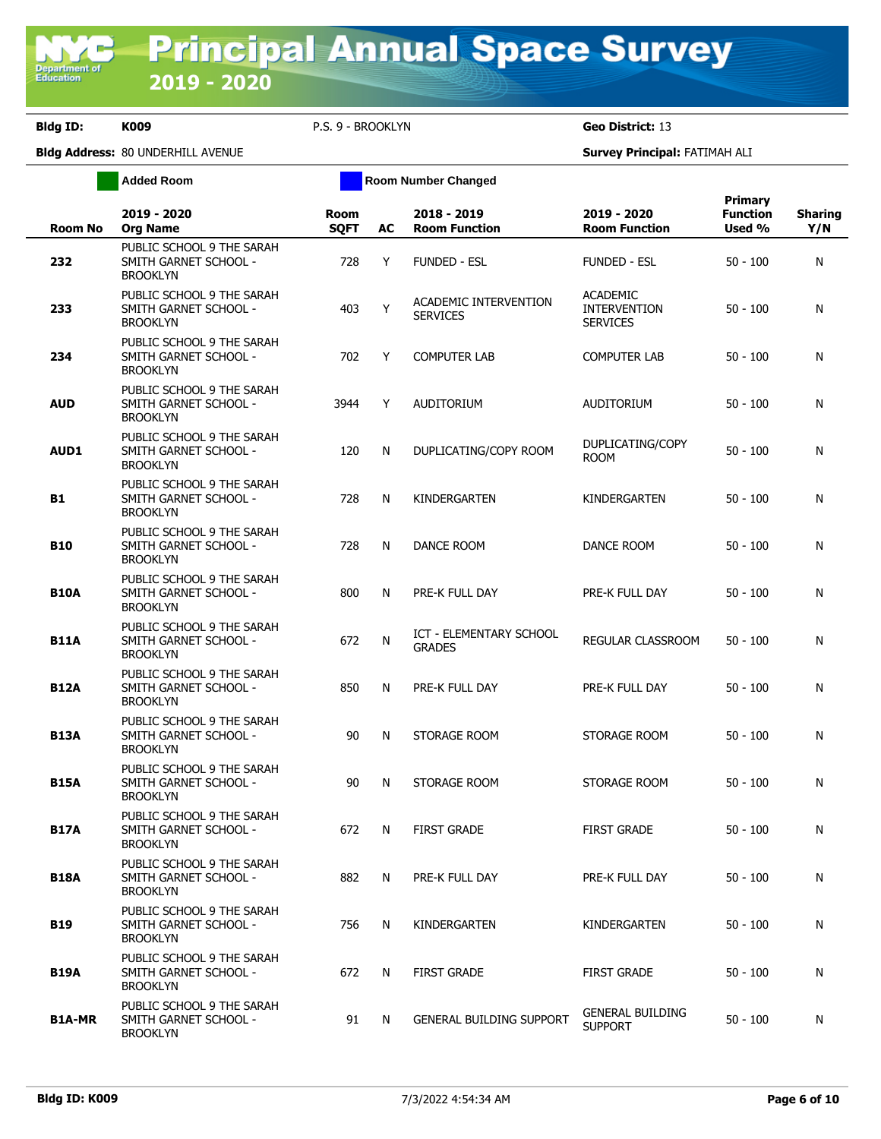**Added Room Room Room Number Changed** 

| <b>Room No</b> | 2019 - 2020<br><b>Org Name</b>                                        | <b>Room</b><br><b>SQFT</b> | AC | 2018 - 2019<br><b>Room Function</b>             | 2019 - 2020<br><b>Room Function</b>                       | Primary<br><b>Function</b><br>Used % | <b>Sharing</b><br>Y/N |
|----------------|-----------------------------------------------------------------------|----------------------------|----|-------------------------------------------------|-----------------------------------------------------------|--------------------------------------|-----------------------|
| 232            | PUBLIC SCHOOL 9 THE SARAH<br>SMITH GARNET SCHOOL -<br><b>BROOKLYN</b> | 728                        | Y  | <b>FUNDED - ESL</b>                             | <b>FUNDED - ESL</b>                                       | $50 - 100$                           | N                     |
| 233            | PUBLIC SCHOOL 9 THE SARAH<br>SMITH GARNET SCHOOL -<br><b>BROOKLYN</b> | 403                        | Y  | ACADEMIC INTERVENTION<br><b>SERVICES</b>        | <b>ACADEMIC</b><br><b>INTERVENTION</b><br><b>SERVICES</b> | $50 - 100$                           | N                     |
| 234            | PUBLIC SCHOOL 9 THE SARAH<br>SMITH GARNET SCHOOL -<br><b>BROOKLYN</b> | 702                        | Y  | <b>COMPUTER LAB</b>                             | <b>COMPUTER LAB</b>                                       | $50 - 100$                           | N                     |
| <b>AUD</b>     | PUBLIC SCHOOL 9 THE SARAH<br>SMITH GARNET SCHOOL -<br><b>BROOKLYN</b> | 3944                       | Y  | AUDITORIUM                                      | AUDITORIUM                                                | $50 - 100$                           | N                     |
| <b>AUD1</b>    | PUBLIC SCHOOL 9 THE SARAH<br>SMITH GARNET SCHOOL -<br><b>BROOKLYN</b> | 120                        | N  | DUPLICATING/COPY ROOM                           | DUPLICATING/COPY<br><b>ROOM</b>                           | $50 - 100$                           | N                     |
| B1             | PUBLIC SCHOOL 9 THE SARAH<br>SMITH GARNET SCHOOL -<br><b>BROOKLYN</b> | 728                        | N  | KINDERGARTEN                                    | KINDERGARTEN                                              | $50 - 100$                           | N                     |
| <b>B10</b>     | PUBLIC SCHOOL 9 THE SARAH<br>SMITH GARNET SCHOOL -<br><b>BROOKLYN</b> | 728                        | N  | DANCE ROOM                                      | DANCE ROOM                                                | $50 - 100$                           | N                     |
| <b>B10A</b>    | PUBLIC SCHOOL 9 THE SARAH<br>SMITH GARNET SCHOOL -<br><b>BROOKLYN</b> | 800                        | N  | PRE-K FULL DAY                                  | PRE-K FULL DAY                                            | $50 - 100$                           | N                     |
| <b>B11A</b>    | PUBLIC SCHOOL 9 THE SARAH<br>SMITH GARNET SCHOOL -<br><b>BROOKLYN</b> | 672                        | N  | <b>ICT - ELEMENTARY SCHOOL</b><br><b>GRADES</b> | REGULAR CLASSROOM                                         | $50 - 100$                           | N                     |
| <b>B12A</b>    | PUBLIC SCHOOL 9 THE SARAH<br>SMITH GARNET SCHOOL -<br><b>BROOKLYN</b> | 850                        | N  | PRE-K FULL DAY                                  | PRE-K FULL DAY                                            | $50 - 100$                           | N                     |
| <b>B13A</b>    | PUBLIC SCHOOL 9 THE SARAH<br>SMITH GARNET SCHOOL -<br><b>BROOKLYN</b> | 90                         | N  | STORAGE ROOM                                    | STORAGE ROOM                                              | $50 - 100$                           | N                     |
| <b>B15A</b>    | PUBLIC SCHOOL 9 THE SARAH<br>SMITH GARNET SCHOOL -<br><b>BROOKLYN</b> | 90                         | N  | STORAGE ROOM                                    | STORAGE ROOM                                              | $50 - 100$                           | N                     |
| <b>B17A</b>    | PUBLIC SCHOOL 9 THE SARAH<br>SMITH GARNET SCHOOL -<br><b>BROOKLYN</b> | 672                        | N. | <b>FIRST GRADE</b>                              | <b>FIRST GRADE</b>                                        | $50 - 100$                           | N                     |
| <b>B18A</b>    | PUBLIC SCHOOL 9 THE SARAH<br>SMITH GARNET SCHOOL -<br><b>BROOKLYN</b> | 882                        | N  | PRE-K FULL DAY                                  | PRE-K FULL DAY                                            | $50 - 100$                           | N                     |
| <b>B19</b>     | PUBLIC SCHOOL 9 THE SARAH<br>SMITH GARNET SCHOOL -<br><b>BROOKLYN</b> | 756                        | N  | KINDERGARTEN                                    | KINDERGARTEN                                              | $50 - 100$                           | N                     |
| <b>B19A</b>    | PUBLIC SCHOOL 9 THE SARAH<br>SMITH GARNET SCHOOL -<br><b>BROOKLYN</b> | 672                        | N  | <b>FIRST GRADE</b>                              | FIRST GRADE                                               | $50 - 100$                           | N                     |
| <b>B1A-MR</b>  | PUBLIC SCHOOL 9 THE SARAH<br>SMITH GARNET SCHOOL -<br><b>BROOKLYN</b> | 91                         | N  | <b>GENERAL BUILDING SUPPORT</b>                 | <b>GENERAL BUILDING</b><br><b>SUPPORT</b>                 | 50 - 100                             | N                     |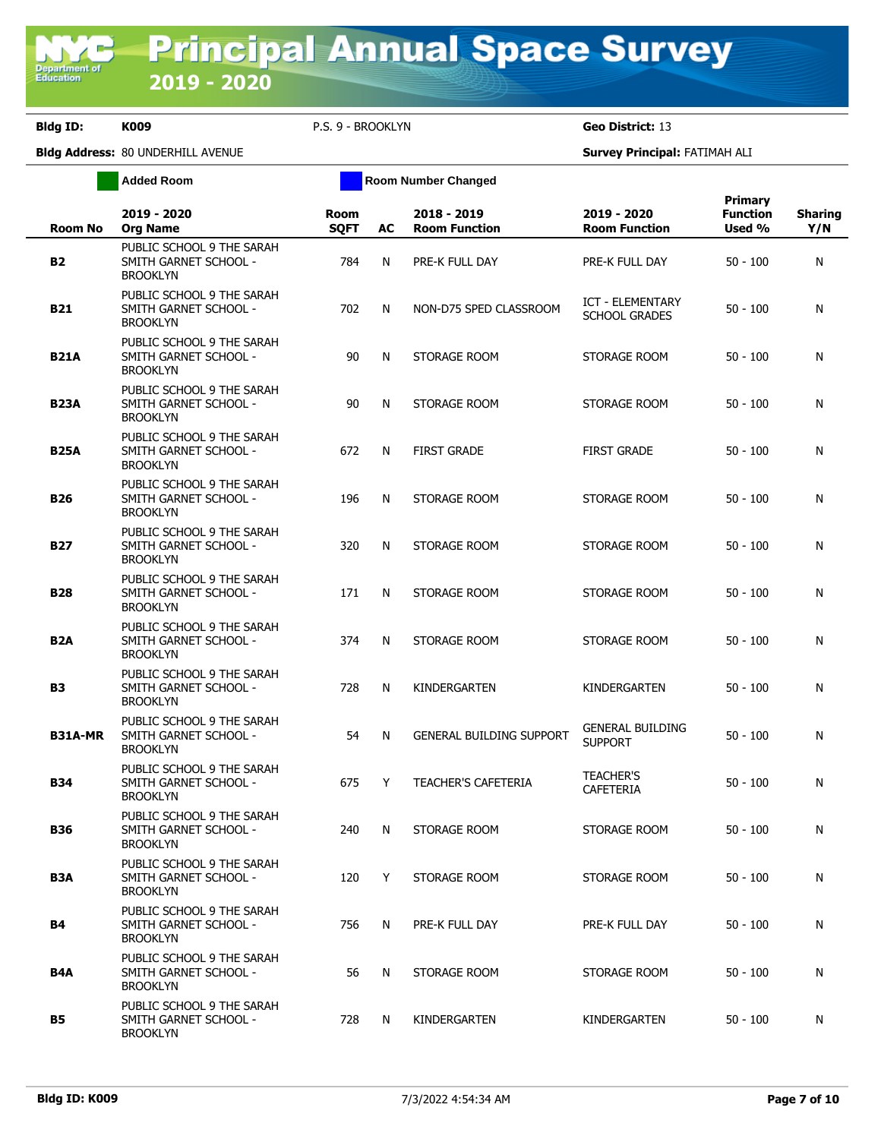**Added Room Room Room Number Changed** 

| <b>Room No</b>   | 2019 - 2020<br><b>Org Name</b>                                        | <b>Room</b><br><b>SQFT</b> | AC | 2018 - 2019<br><b>Room Function</b> | 2019 - 2020<br><b>Room Function</b>       | <b>Primary</b><br><b>Function</b><br>Used % | <b>Sharing</b><br>Y/N |
|------------------|-----------------------------------------------------------------------|----------------------------|----|-------------------------------------|-------------------------------------------|---------------------------------------------|-----------------------|
| <b>B2</b>        | PUBLIC SCHOOL 9 THE SARAH<br>SMITH GARNET SCHOOL -<br><b>BROOKLYN</b> | 784                        | N  | PRE-K FULL DAY                      | PRE-K FULL DAY                            | $50 - 100$                                  | N                     |
| <b>B21</b>       | PUBLIC SCHOOL 9 THE SARAH<br>SMITH GARNET SCHOOL -<br><b>BROOKLYN</b> | 702                        | N  | NON-D75 SPED CLASSROOM              | ICT - ELEMENTARY<br><b>SCHOOL GRADES</b>  | $50 - 100$                                  | N                     |
| <b>B21A</b>      | PUBLIC SCHOOL 9 THE SARAH<br>SMITH GARNET SCHOOL -<br><b>BROOKLYN</b> | 90                         | N  | STORAGE ROOM                        | STORAGE ROOM                              | $50 - 100$                                  | N                     |
| <b>B23A</b>      | PUBLIC SCHOOL 9 THE SARAH<br>SMITH GARNET SCHOOL -<br><b>BROOKLYN</b> | 90                         | N  | STORAGE ROOM                        | STORAGE ROOM                              | $50 - 100$                                  | N                     |
| <b>B25A</b>      | PUBLIC SCHOOL 9 THE SARAH<br>SMITH GARNET SCHOOL -<br><b>BROOKLYN</b> | 672                        | N  | <b>FIRST GRADE</b>                  | <b>FIRST GRADE</b>                        | $50 - 100$                                  | N                     |
| <b>B26</b>       | PUBLIC SCHOOL 9 THE SARAH<br>SMITH GARNET SCHOOL -<br><b>BROOKLYN</b> | 196                        | N  | STORAGE ROOM                        | STORAGE ROOM                              | $50 - 100$                                  | N                     |
| <b>B27</b>       | PUBLIC SCHOOL 9 THE SARAH<br>SMITH GARNET SCHOOL -<br><b>BROOKLYN</b> | 320                        | N  | STORAGE ROOM                        | STORAGE ROOM                              | $50 - 100$                                  | N                     |
| <b>B28</b>       | PUBLIC SCHOOL 9 THE SARAH<br>SMITH GARNET SCHOOL -<br><b>BROOKLYN</b> | 171                        | N  | STORAGE ROOM                        | STORAGE ROOM                              | $50 - 100$                                  | N                     |
| B <sub>2</sub> A | PUBLIC SCHOOL 9 THE SARAH<br>SMITH GARNET SCHOOL -<br><b>BROOKLYN</b> | 374                        | N  | STORAGE ROOM                        | STORAGE ROOM                              | $50 - 100$                                  | N                     |
| <b>B3</b>        | PUBLIC SCHOOL 9 THE SARAH<br>SMITH GARNET SCHOOL -<br><b>BROOKLYN</b> | 728                        | N  | KINDERGARTEN                        | KINDERGARTEN                              | $50 - 100$                                  | N                     |
| <b>B31A-MR</b>   | PUBLIC SCHOOL 9 THE SARAH<br>SMITH GARNET SCHOOL -<br><b>BROOKLYN</b> | 54                         | N  | <b>GENERAL BUILDING SUPPORT</b>     | <b>GENERAL BUILDING</b><br><b>SUPPORT</b> | $50 - 100$                                  | N                     |
| <b>B34</b>       | PUBLIC SCHOOL 9 THE SARAH<br>SMITH GARNET SCHOOL -<br><b>BROOKLYN</b> | 675                        | Y  | <b>TEACHER'S CAFETERIA</b>          | <b>TEACHER'S</b><br><b>CAFETERIA</b>      | $50 - 100$                                  | N                     |
| <b>B36</b>       | PUBLIC SCHOOL 9 THE SARAH<br>SMITH GARNET SCHOOL -<br><b>BROOKLYN</b> | 240                        | N  | STORAGE ROOM                        | STORAGE ROOM                              | $50 - 100$                                  | N                     |
| B3A              | PUBLIC SCHOOL 9 THE SARAH<br>SMITH GARNET SCHOOL -<br><b>BROOKLYN</b> | 120                        | Y  | STORAGE ROOM                        | STORAGE ROOM                              | $50 - 100$                                  | N                     |
| <b>B4</b>        | PUBLIC SCHOOL 9 THE SARAH<br>SMITH GARNET SCHOOL -<br><b>BROOKLYN</b> | 756                        | N  | PRE-K FULL DAY                      | PRE-K FULL DAY                            | $50 - 100$                                  | N                     |
| B4A              | PUBLIC SCHOOL 9 THE SARAH<br>SMITH GARNET SCHOOL -<br><b>BROOKLYN</b> | 56                         | N  | STORAGE ROOM                        | STORAGE ROOM                              | $50 - 100$                                  | N                     |
| <b>B5</b>        | PUBLIC SCHOOL 9 THE SARAH<br>SMITH GARNET SCHOOL -<br><b>BROOKLYN</b> | 728                        | N  | KINDERGARTEN                        | KINDERGARTEN                              | $50 - 100$                                  | N                     |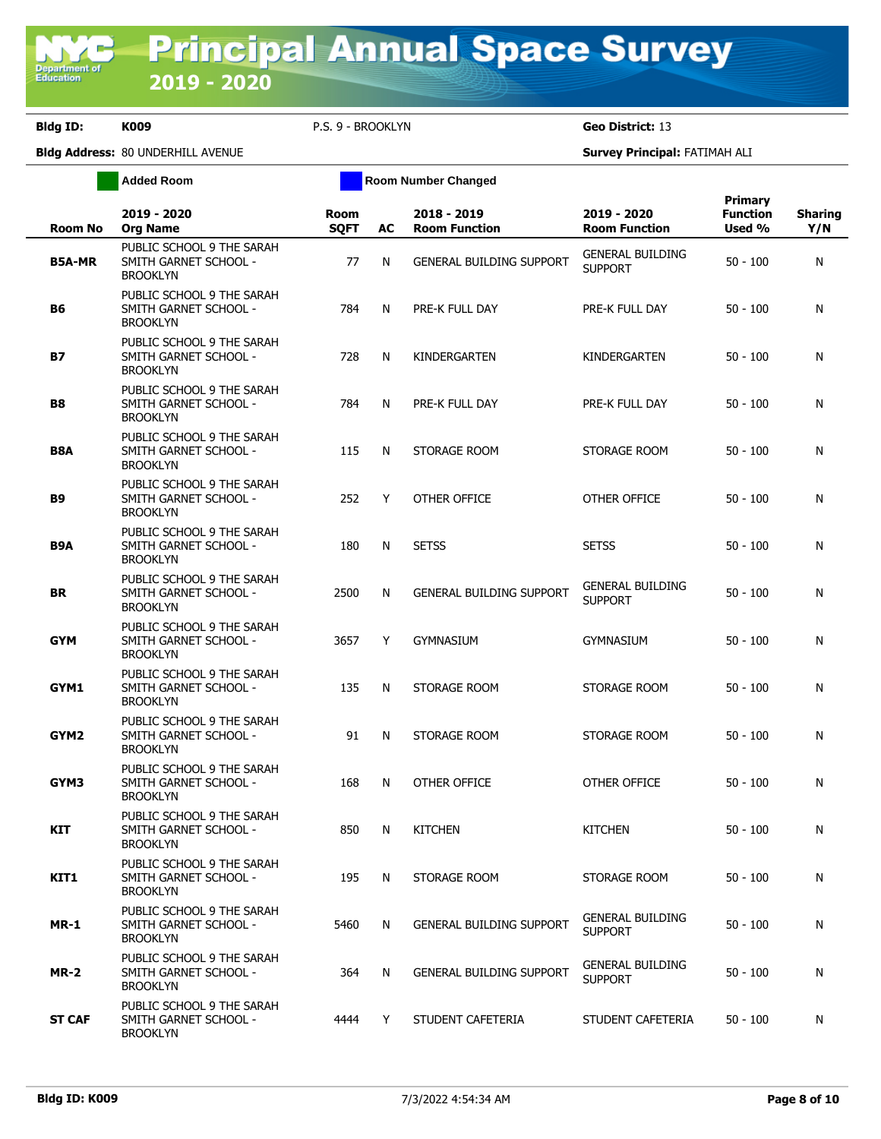**Added Room Room Room Number Changed** 

| <b>Room No</b>   | 2019 - 2020<br><b>Org Name</b>                                        | <b>Room</b><br><b>SQFT</b> | AC | 2018 - 2019<br><b>Room Function</b> | 2019 - 2020<br><b>Room Function</b>       | Primary<br><b>Function</b><br>Used % | <b>Sharing</b><br>Y/N |
|------------------|-----------------------------------------------------------------------|----------------------------|----|-------------------------------------|-------------------------------------------|--------------------------------------|-----------------------|
| <b>B5A-MR</b>    | PUBLIC SCHOOL 9 THE SARAH<br>SMITH GARNET SCHOOL -<br><b>BROOKLYN</b> | 77                         | N  | <b>GENERAL BUILDING SUPPORT</b>     | <b>GENERAL BUILDING</b><br><b>SUPPORT</b> | $50 - 100$                           | N                     |
| В6               | PUBLIC SCHOOL 9 THE SARAH<br>SMITH GARNET SCHOOL -<br><b>BROOKLYN</b> | 784                        | N  | PRE-K FULL DAY                      | PRE-K FULL DAY                            | $50 - 100$                           | N                     |
| <b>B7</b>        | PUBLIC SCHOOL 9 THE SARAH<br>SMITH GARNET SCHOOL -<br><b>BROOKLYN</b> | 728                        | N  | KINDERGARTEN                        | KINDERGARTEN                              | $50 - 100$                           | N                     |
| <b>B8</b>        | PUBLIC SCHOOL 9 THE SARAH<br>SMITH GARNET SCHOOL -<br><b>BROOKLYN</b> | 784                        | N  | PRE-K FULL DAY                      | PRE-K FULL DAY                            | $50 - 100$                           | N                     |
| <b>B8A</b>       | PUBLIC SCHOOL 9 THE SARAH<br>SMITH GARNET SCHOOL -<br><b>BROOKLYN</b> | 115                        | N  | STORAGE ROOM                        | STORAGE ROOM                              | $50 - 100$                           | N                     |
| <b>B9</b>        | PUBLIC SCHOOL 9 THE SARAH<br>SMITH GARNET SCHOOL -<br><b>BROOKLYN</b> | 252                        | Y  | OTHER OFFICE                        | OTHER OFFICE                              | $50 - 100$                           | N                     |
| B <sub>9</sub> A | PUBLIC SCHOOL 9 THE SARAH<br>SMITH GARNET SCHOOL -<br><b>BROOKLYN</b> | 180                        | N  | <b>SETSS</b>                        | <b>SETSS</b>                              | $50 - 100$                           | N                     |
| <b>BR</b>        | PUBLIC SCHOOL 9 THE SARAH<br>SMITH GARNET SCHOOL -<br><b>BROOKLYN</b> | 2500                       | N  | <b>GENERAL BUILDING SUPPORT</b>     | <b>GENERAL BUILDING</b><br><b>SUPPORT</b> | $50 - 100$                           | N                     |
| <b>GYM</b>       | PUBLIC SCHOOL 9 THE SARAH<br>SMITH GARNET SCHOOL -<br><b>BROOKLYN</b> | 3657                       | Y  | <b>GYMNASIUM</b>                    | <b>GYMNASIUM</b>                          | $50 - 100$                           | N                     |
| GYM1             | PUBLIC SCHOOL 9 THE SARAH<br>SMITH GARNET SCHOOL -<br><b>BROOKLYN</b> | 135                        | N  | STORAGE ROOM                        | STORAGE ROOM                              | $50 - 100$                           | N                     |
| GYM2             | PUBLIC SCHOOL 9 THE SARAH<br>SMITH GARNET SCHOOL -<br><b>BROOKLYN</b> | 91                         | N  | STORAGE ROOM                        | STORAGE ROOM                              | $50 - 100$                           | N                     |
| GYM3             | PUBLIC SCHOOL 9 THE SARAH<br>SMITH GARNET SCHOOL -<br><b>BROOKLYN</b> | 168                        | N  | OTHER OFFICE                        | OTHER OFFICE                              | $50 - 100$                           | N                     |
| KIT              | PUBLIC SCHOOL 9 THE SARAH<br>SMITH GARNET SCHOOL -<br><b>BROOKLYN</b> | 850                        | N  | <b>KITCHEN</b>                      | <b>KITCHEN</b>                            | $50 - 100$                           | N                     |
| KIT1             | PUBLIC SCHOOL 9 THE SARAH<br>SMITH GARNET SCHOOL -<br><b>BROOKLYN</b> | 195                        | N  | STORAGE ROOM                        | STORAGE ROOM                              | $50 - 100$                           | N                     |
| <b>MR-1</b>      | PUBLIC SCHOOL 9 THE SARAH<br>SMITH GARNET SCHOOL -<br><b>BROOKLYN</b> | 5460                       | N  | <b>GENERAL BUILDING SUPPORT</b>     | <b>GENERAL BUILDING</b><br><b>SUPPORT</b> | $50 - 100$                           | N                     |
| <b>MR-2</b>      | PUBLIC SCHOOL 9 THE SARAH<br>SMITH GARNET SCHOOL -<br><b>BROOKLYN</b> | 364                        | N  | <b>GENERAL BUILDING SUPPORT</b>     | <b>GENERAL BUILDING</b><br><b>SUPPORT</b> | $50 - 100$                           | N                     |
| <b>ST CAF</b>    | PUBLIC SCHOOL 9 THE SARAH<br>SMITH GARNET SCHOOL -<br><b>BROOKLYN</b> | 4444                       | Y  | STUDENT CAFETERIA                   | STUDENT CAFETERIA                         | $50 - 100$                           | N                     |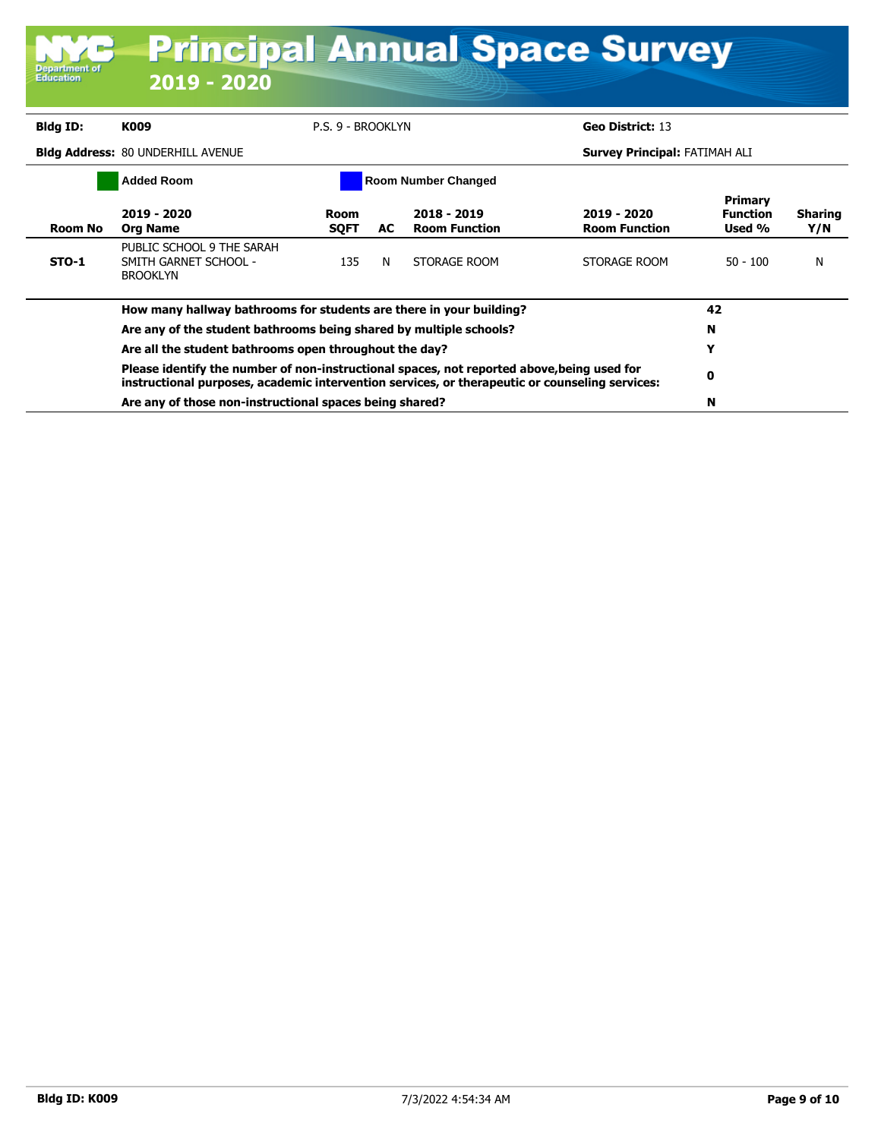| <b>Department of</b><br><b>Education</b>        | <b>Principal Annual Space Survey</b><br>2019 - 2020                                                                                                                                          |                                       |     |                                     |                                      |                                             |                       |
|-------------------------------------------------|----------------------------------------------------------------------------------------------------------------------------------------------------------------------------------------------|---------------------------------------|-----|-------------------------------------|--------------------------------------|---------------------------------------------|-----------------------|
| <b>Bldg ID:</b>                                 | K009                                                                                                                                                                                         | P.S. 9 - BROOKLYN<br>Geo District: 13 |     |                                     |                                      |                                             |                       |
|                                                 | <b>Bldg Address: 80 UNDERHILL AVENUE</b>                                                                                                                                                     |                                       |     |                                     | <b>Survey Principal: FATIMAH ALI</b> |                                             |                       |
| <b>Room Number Changed</b><br><b>Added Room</b> |                                                                                                                                                                                              |                                       |     |                                     |                                      |                                             |                       |
| <b>Room No</b>                                  | 2019 - 2020<br><b>Org Name</b>                                                                                                                                                               | Room<br><b>SOFT</b>                   | AC. | 2018 - 2019<br><b>Room Function</b> | 2019 - 2020<br><b>Room Function</b>  | <b>Primary</b><br><b>Function</b><br>Used % | <b>Sharing</b><br>Y/N |
| $STO-1$                                         | PUBLIC SCHOOL 9 THE SARAH<br>SMITH GARNET SCHOOL -<br><b>BROOKLYN</b>                                                                                                                        | 135                                   | N   | STORAGE ROOM                        | STORAGE ROOM                         | $50 - 100$                                  | N                     |
|                                                 | How many hallway bathrooms for students are there in your building?                                                                                                                          |                                       |     |                                     |                                      | 42                                          |                       |
|                                                 | Are any of the student bathrooms being shared by multiple schools?                                                                                                                           |                                       |     |                                     |                                      | N                                           |                       |
|                                                 | Are all the student bathrooms open throughout the day?                                                                                                                                       |                                       |     |                                     |                                      | Y                                           |                       |
|                                                 | Please identify the number of non-instructional spaces, not reported above, being used for<br>instructional purposes, academic intervention services, or therapeutic or counseling services: | 0                                     |     |                                     |                                      |                                             |                       |
|                                                 | Are any of those non-instructional spaces being shared?                                                                                                                                      |                                       |     |                                     |                                      | N                                           |                       |